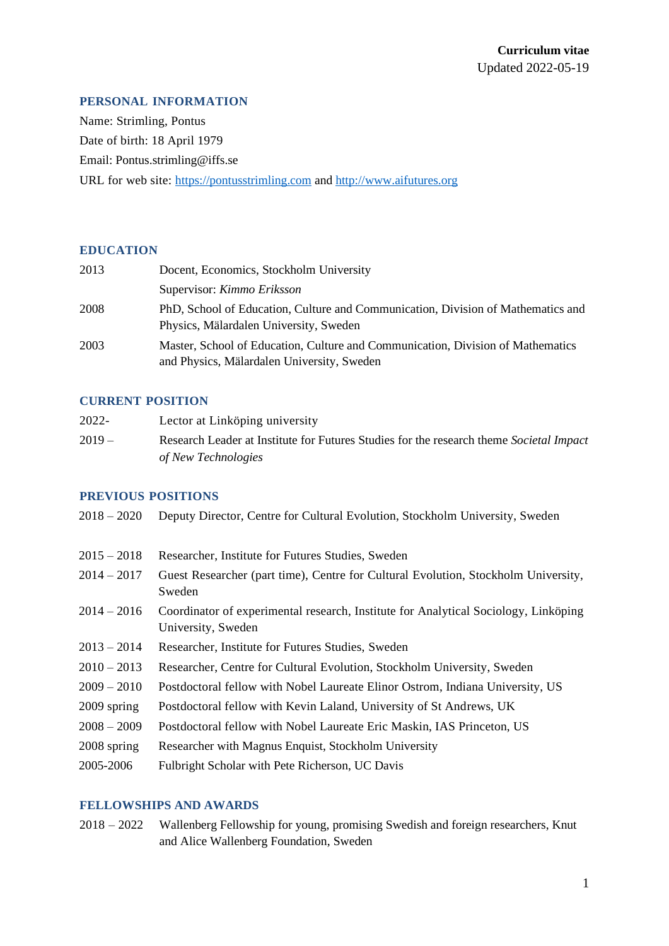## **PERSONAL INFORMATION**

Name: Strimling, Pontus Date of birth: 18 April 1979 Email: Pontus.strimling@iffs.se URL for web site: [https://pontusstrimling.com](https://pontusstrimling.com/) an[d http://www.aifutures.org](http://www.aifutures.org/)

## **EDUCATION**

| 2013 | Docent, Economics, Stockholm University                                                                                       |
|------|-------------------------------------------------------------------------------------------------------------------------------|
|      | Supervisor: Kimmo Eriksson                                                                                                    |
| 2008 | PhD, School of Education, Culture and Communication, Division of Mathematics and<br>Physics, Mälardalen University, Sweden    |
| 2003 | Master, School of Education, Culture and Communication, Division of Mathematics<br>and Physics, Mälardalen University, Sweden |

## **CURRENT POSITION**

| 2022-   | Lector at Linköping university                                                          |
|---------|-----------------------------------------------------------------------------------------|
| $2019-$ | Research Leader at Institute for Futures Studies for the research theme Societal Impact |
|         | of New Technologies                                                                     |

#### **PREVIOUS POSITIONS**

| $2018 - 2020$ | Deputy Director, Centre for Cultural Evolution, Stockholm University, Sweden                              |
|---------------|-----------------------------------------------------------------------------------------------------------|
| $2015 - 2018$ | Researcher, Institute for Futures Studies, Sweden                                                         |
| $2014 - 2017$ | Guest Researcher (part time), Centre for Cultural Evolution, Stockholm University,<br>Sweden              |
| $2014 - 2016$ | Coordinator of experimental research, Institute for Analytical Sociology, Linköping<br>University, Sweden |
| $2013 - 2014$ | Researcher, Institute for Futures Studies, Sweden                                                         |
| $2010 - 2013$ | Researcher, Centre for Cultural Evolution, Stockholm University, Sweden                                   |
| $2009 - 2010$ | Postdoctoral fellow with Nobel Laureate Elinor Ostrom, Indiana University, US                             |
| 2009 spring   | Postdoctoral fellow with Kevin Laland, University of St Andrews, UK                                       |
| $2008 - 2009$ | Postdoctoral fellow with Nobel Laureate Eric Maskin, IAS Princeton, US                                    |
| 2008 spring   | Researcher with Magnus Enquist, Stockholm University                                                      |
| 2005-2006     | Fulbright Scholar with Pete Richerson, UC Davis                                                           |

# **FELLOWSHIPS AND AWARDS**

2018 – 2022 Wallenberg Fellowship for young, promising Swedish and foreign researchers, Knut and Alice Wallenberg Foundation, Sweden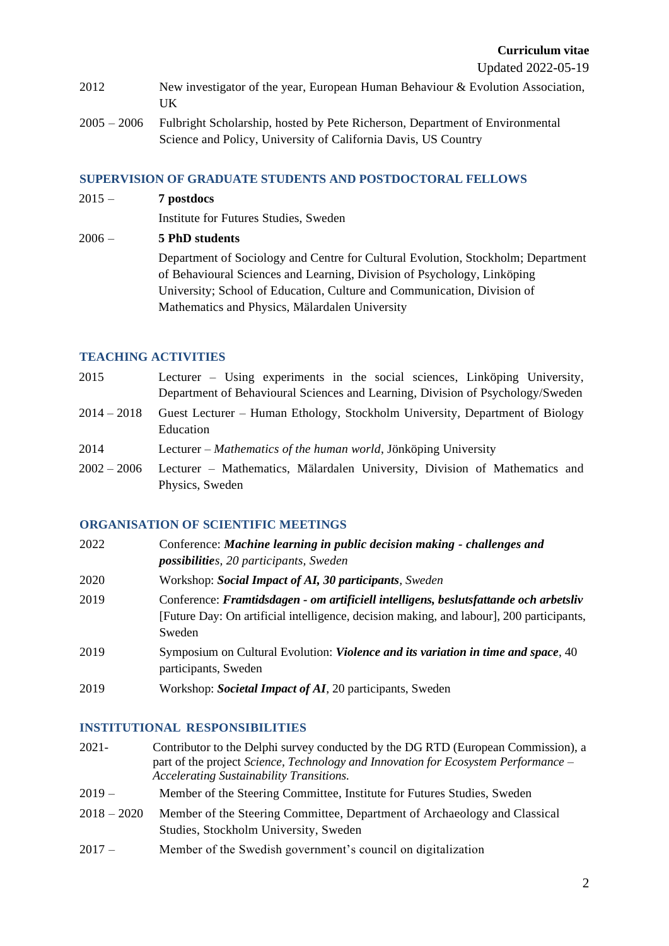- 2012 New investigator of the year, European Human Behaviour & Evolution Association, UK
- 2005 2006 Fulbright Scholarship, hosted by Pete Richerson, Department of Environmental Science and Policy, University of California Davis, US Country

# **SUPERVISION OF GRADUATE STUDENTS AND POSTDOCTORAL FELLOWS**

2015 – **7 postdocs**

Institute for Futures Studies, Sweden

# 2006 – **5 PhD students**

Department of Sociology and Centre for Cultural Evolution, Stockholm; Department of Behavioural Sciences and Learning, Division of Psychology, Linköping University; School of Education, Culture and Communication, Division of Mathematics and Physics, Mälardalen University

# **TEACHING ACTIVITIES**

- 2015 Lecturer Using experiments in the social sciences, Linköping University, Department of Behavioural Sciences and Learning, Division of Psychology/Sweden
- 2014 2018 Guest Lecturer Human Ethology, Stockholm University, Department of Biology Education
- 2014 Lecturer *Mathematics of the human world*, Jönköping University
- 2002 2006 Lecturer Mathematics, Mälardalen University, Division of Mathematics and Physics, Sweden

# **ORGANISATION OF SCIENTIFIC MEETINGS**

| 2022 | Conference: Machine learning in public decision making - challenges and<br><b>possibilities</b> , 20 participants, Sweden                                                                   |
|------|---------------------------------------------------------------------------------------------------------------------------------------------------------------------------------------------|
| 2020 | Workshop: Social Impact of AI, 30 participants, Sweden                                                                                                                                      |
| 2019 | Conference: Framtidsdagen - om artificiell intelligens, beslutsfattande och arbetsliv<br>[Future Day: On artificial intelligence, decision making, and labour], 200 participants,<br>Sweden |
| 2019 | Symposium on Cultural Evolution: <i>Violence and its variation in time and space</i> , 40<br>participants, Sweden                                                                           |
| 2019 | Workshop: <i>Societal Impact of AI</i> , 20 participants, Sweden                                                                                                                            |

# **INSTITUTIONAL RESPONSIBILITIES**

- 2021- Contributor to the Delphi survey conducted by the DG RTD (European Commission), a part of the project *Science, Technology and Innovation for Ecosystem Performance – Accelerating Sustainability Transitions.*
- 2019 Member of the Steering Committee, Institute for Futures Studies, Sweden
- 2018 2020 Member of the Steering Committee, Department of Archaeology and Classical Studies, Stockholm University, Sweden
- 2017 Member of the Swedish government's council on digitalization